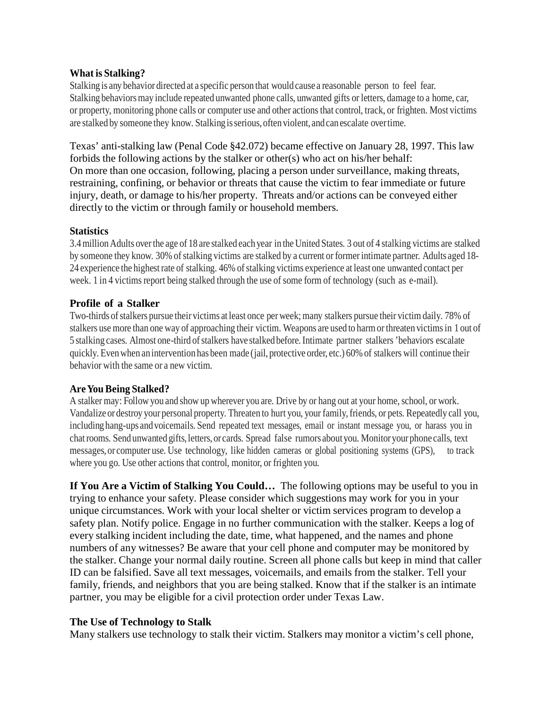## **What is Stalking?**

Stalking is any behavior directed at a specific person that wouldcause a reasonable person to feel fear. Stalking behaviors may include repeated unwanted phone calls, unwanted gifts or letters, damage to a home, car, or property, monitoring phone calls or computer use and other actions that control, track, or frighten. Most victims are stalked by someone they know. Stalkingisserious, often violent, andcanescalate overtime.

Texas' anti-stalking law (Penal Code §42.072) became effective on January 28, 1997. This law forbids the following actions by the stalker or other(s) who act on his/her behalf: On more than one occasion, following, placing a person under surveillance, making threats, restraining, confining, or behavior or threats that cause the victim to fear immediate or future injury, death, or damage to his/her property. Threats and/or actions can be conveyed either directly to the victim or through family or household members.

## **Statistics**

3.4million Adults overthe age of 18 are stalked each year in the United States. 3 out of 4 stalking victims are stalked by someone they know. 30% of stalking victims are stalked by a current or former intimate partner. Adults aged 18-24 experience the highest rate of stalking. 46% of stalking victims experience at least one unwanted contact per week. 1 in 4 victims report being stalked through the use of some form of technology (such as e-mail).

# **Profile of a Stalker**

Two-thirds of stalkers pursue their victims at least once per week; many stalkers pursue their victim daily. 78% of stalkers use more than one way of approaching their victim. Weapons are used to harmorthreaten victimsin 1 out of 5 stalking cases. Almost one-third of stalkers have stalked before. Intimate partner stalkers 'behaviors escalate quickly. Even when an intervention has been made (jail, protective order, etc.) 60% of stalkers will continue their behavior with the same or a new victim.

# **AreYouBeing Stalked?**

A stalker may: Follow you and show up wherever you are. Drive by or hang out at your home, school, or work. Vandalize or destroy your personal property. Threaten to hurt you, your family,friends, or pets. Repeatedly call you, including hang-ups andvoicemails. Send repeated text messages, email or instant message you, or harass you in chat rooms. Send unwanted gifts, letters, or cards. Spread false rumors about you. Monitor your phone calls, text messages, or computer use. Use technology, like hidden cameras or global positioning systems (GPS), to track where you go. Use other actions that control, monitor, or frighten you.

**If You Are a Victim of Stalking You Could…** The following options may be useful to you in trying to enhance your safety. Please consider which suggestions may work for you in your unique circumstances. Work with your local shelter or victim services program to develop a safety plan. Notify police. Engage in no further communication with the stalker. Keeps a log of every stalking incident including the date, time, what happened, and the names and phone numbers of any witnesses? Be aware that your cell phone and computer may be monitored by the stalker. Change your normal daily routine. Screen all phone calls but keep in mind that caller ID can be falsified. Save all text messages, voicemails, and emails from the stalker. Tell your family, friends, and neighbors that you are being stalked. Know that if the stalker is an intimate partner, you may be eligible for a civil protection order under Texas Law.

#### **The Use of Technology to Stalk**

Many stalkers use technology to stalk their victim. Stalkers may monitor a victim's cell phone,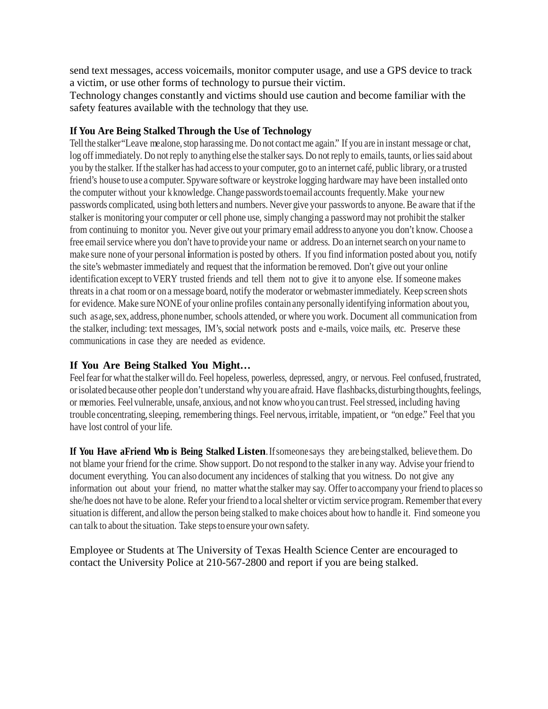send text messages, access voicemails, monitor computer usage, and use a GPS device to track a victim, or use other forms of technology to pursue their victim.

Technology changes constantly and victims should use caution and become familiar with the safety features available with the technology that they use.

## **If You Are Being Stalked Through the Use of Technology**

Tell the stalker "Leave mealone, stop harassing me. Do not contact me again." If you are in instant message or chat, log offimmediately. Do not reply to anything else the stalker says. Do not reply to emails, taunts, or lies said about you by the stalker. Ifthe stalker has had accessto your computer, go to an internet café, public library, or a trusted friend's house to use a computer. Spyware software or keystroke logging hardware may have been installed onto the computer without your kknowledge. Change passwordstoemail accounts frequently.Make yournew passwords complicated, using both letters and numbers. Never give your passwords to anyone. Be aware that if the stalker is monitoring your computer or cell phone use, simply changing a password may not prohibit the stalker from continuing to monitor you. Never give out your primary email addressto anyone you don't know. Choose a free email service where you don't have to provide your name or address. Do an internet search on your name to make sure none of your personal **i**nformation is posted by others. If you find information posted about you, notify the site's webmaster immediately and request that the information be removed. Don't give out your online identification except to VERY trusted friends and tell them not to give it to anyone else. If someone makes threats in a chat room or on a message board, notify the moderator orwebmasterimmediately. Keep screen shots for evidence. Make sure NONEof your online profiles containany personally identifying information aboutyou, such as age, sex, address, phone number, schools attended, or where you work. Document all communication from the stalker, including: text messages, IM's, social network posts and e-mails, voice mails, etc. Preserve these communications in case they are needed as evidence.

# **If You Are Being Stalked You Might…**

Feel fear for what the stalker will do. Feel hopeless, powerless, depressed, angry, or nervous. Feel confused, frustrated, orisolated because other people don't understand why you are afraid. Have flashbacks, disturbing thoughts, feelings, or memories. Feel vulnerable, unsafe, anxious, and not know whoyou can trust. Feelstressed, including having trouble concentrating,sleeping, remembering things. Feel nervous, irritable, impatient, or "on edge." Feel that you have lost control of your life.

**If You Have a Friend Who is Being Stalked Listen**.Ifsomeonesays they arebeingstalked, believe them. Do not blame your friend for the crime. Showsupport. Do not respond to the stalker in any way. Advise your friend to document everything. You can also document any incidences of stalking that you witness. Do not give any information out about your friend, no matter what the stalker may say. Offer to accompany your friend to places so she/he does not have to be alone. Refer your friend to a local shelter or victim service program. Remember that every situation is different, and allow the person being stalked to make choices about how to handle it. Find someone you can talk to about the situation. Take stepsto ensure your own safety.

Employee or Students at The University of Texas Health Science Center are encouraged to contact the University Police at 210-567-2800 and report if you are being stalked.